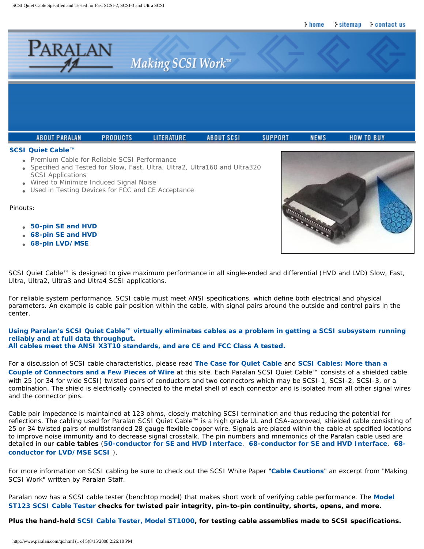<span id="page-0-0"></span>

- Premium Cable for Reliable SCSI Performance
- Specified and Tested for Slow, Fast, Ultra, Ultra2, Ultra160 and Ultra320 SCSI Applications
- Wired to Minimize Induced Signal Noise
- Used in Testing Devices for FCC and CE Acceptance

#### Pinouts:

- **[50-pin SE and HVD](http://www.paralan.com/qc50.html)**
- **[68-pin SE and HVD](http://www.paralan.com/qc68.html)**
- **[68-pin LVD/MSE](http://www.paralan.com/lvdmsepinout.html)**



SCSI Quiet Cable™ is designed to give maximum performance in all single-ended and differential (HVD and LVD) Slow, Fast, Ultra, Ultra2, Ultra3 and Ultra4 SCSI applications.

For reliable system performance, SCSI cable must meet ANSI specifications, which define both electrical and physical parameters. An example is cable pair position within the cable, with signal pairs around the outside and control pairs in the center.

#### **Using Paralan's SCSI Quiet Cable™ virtually eliminates cables as a problem in getting a SCSI subsystem running reliably and at full data throughput. All cables meet the ANSI X3T10 standards, and are CE and FCC Class A tested.**

For a discussion of SCSI cable characteristics, please read **[The Case for Quiet Cable](http://www.paralan.com/caseqc.html)** and **[SCSI Cables: More than a](http://www.paralan.com/connectivity.html) [Couple of Connectors and a Few Pieces of Wire](http://www.paralan.com/connectivity.html)** at this site. Each Paralan SCSI Quiet Cable™ consists of a shielded cable with 25 (or 34 for wide SCSI) twisted pairs of conductors and two connectors which may be SCSI-1, SCSI-2, SCSI-3, or a combination. The shield is electrically connected to the metal shell of each connector and is isolated from all other signal wires and the connector pins.

Cable pair impedance is maintained at 123 ohms, closely matching SCSI termination and thus reducing the potential for reflections. The cabling used for Paralan SCSI Quiet Cable™ is a high grade UL and CSA-approved, shielded cable consisting of 25 or 34 twisted pairs of multistranded 28 gauge flexible copper wire. Signals are placed within the cable at specified locations to improve noise immunity and to decrease signal crosstalk. The pin numbers and mnemonics of the Paralan cable used are detailed in our **cable tables** (**[50-conductor for SE and HVD Interface](http://www.paralan.com/qc50.html)**, **[68-conductor for SE and HVD Interface](http://www.paralan.com/qc68.html)**, **[68](http://www.paralan.com/lvdmsepinout.html) [conductor for LVD/MSE SCSI](http://www.paralan.com/lvdmsepinout.html)** ).

For more information on SCSI cabling be sure to check out the SCSI White Paper "**[Cable Cautions](http://www.paralan.com/cablewhitepaper.html)**" an excerpt from "Making SCSI Work" written by Paralan Staff.

Paralan now has a SCSI cable tester (benchtop model) that makes short work of verifying cable performance. The **[Model](http://www.paralan.com/st123.html) [ST123 SCSI Cable Tester](http://www.paralan.com/st123.html) checks for twisted pair integrity, pin-to-pin continuity, shorts, opens, and more.** 

**Plus the** *hand-held* **[SCSI Cable Tester, Model ST1000](http://www.paralan.com/st1000.html), for testing cable assemblies made to SCSI specifications.**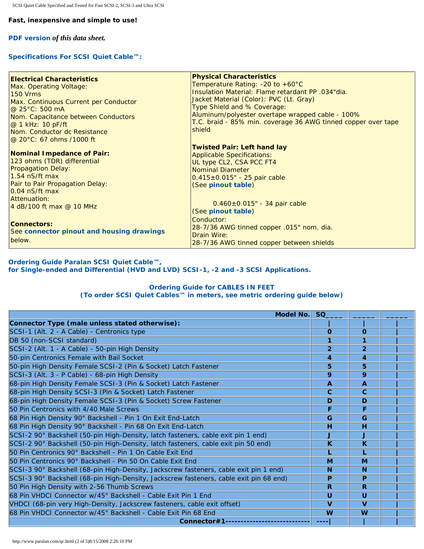#### **Fast, inexpensive and simple to use!**

**[PDF version](http://www.paralan.com/pdf/qcdata.pdf)** *of this data sheet.*

## **Specifications For SCSI Quiet Cable™:**

| <b>Electrical Characteristics</b><br>Max. Operating Voltage:<br><b>150 Vrms</b><br>Max. Continuous Current per Conductor<br>@ 25°C: 500 mA<br>Nom. Capacitance between Conductors<br>$@1$ kHz: 10 pF/ft<br>Nom. Conductor dc Resistance<br>@ 20°C: 67 ohms /1000 ft | <b>Physical Characteristics</b><br>Temperature Rating: $-20$ to $+60^{\circ}$ C<br>Insulation Material: Flame retardant PP .034"dia.<br>Jacket Material (Color): PVC (Lt. Gray)<br>Type Shield and % Coverage:<br>Aluminum/polyester overtape wrapped cable - 100%<br>T.C. braid - 85% min. coverage 36 AWG tinned copper over tape<br>shield |
|---------------------------------------------------------------------------------------------------------------------------------------------------------------------------------------------------------------------------------------------------------------------|-----------------------------------------------------------------------------------------------------------------------------------------------------------------------------------------------------------------------------------------------------------------------------------------------------------------------------------------------|
| Nominal Impedance of Pair:<br>123 ohms (TDR) differential<br><b>Propagation Delay:</b><br>1.54 nS/ft max<br>Pair to Pair Propagation Delay:<br>0.04 nS/ft max<br>Attenuation:<br>4 dB/100 ft max @ 10 MHz                                                           | <b>Twisted Pair: Left hand lay</b><br><b>Applicable Specifications:</b><br>UL type CL2, CSA PCC FT4<br><b>Nominal Diameter</b><br>$0.415 \pm 0.015$ " - 25 pair cable<br>(See pinout table)<br>$0.460 \pm 0.015$ " - 34 pair cable<br>(See pinout table)                                                                                      |
| <b>Connectors:</b><br>See connector pinout and housing drawings<br>below.                                                                                                                                                                                           | Conductor:<br>28-7/36 AWG tinned copper .015" nom. dia.<br>Drain Wire:<br>28-7/36 AWG tinned copper between shields                                                                                                                                                                                                                           |

### **Ordering Guide Paralan SCSI Quiet Cable™, for Single-ended and Differential (HVD and LVD) SCSI-1, -2 and -3 SCSI Applications.**

#### **Ordering Guide for CABLES IN FEET (To order SCSI Quiet Cables™ in meters, see [metric ordering guide below](#page-2-1))**

| Model No.                                                                              | SQ.                     |                         |  |
|----------------------------------------------------------------------------------------|-------------------------|-------------------------|--|
| Connector Type (male unless stated otherwise):                                         |                         |                         |  |
| SCSI-1 (Alt. 2 - A Cable) - Centronics type                                            | $\Omega$                | $\Omega$                |  |
| DB 50 (non-SCSI standard)                                                              |                         | 1                       |  |
| SCSI-2 (Alt. 1 - A Cable) - 50-pin High Density                                        | $\overline{2}$          | $\overline{2}$          |  |
| 50-pin Centronics Female with Bail Socket                                              | 4                       | 4                       |  |
| 50-pin High Density Female SCSI-2 (Pin & Socket) Latch Fastener                        | 5                       | 5                       |  |
| SCSI-3 (Alt. 3 - P Cable) - 68-pin High Density                                        | 9                       | 9                       |  |
| 68-pin High Density Female SCSI-3 (Pin & Socket) Latch Fastener                        | $\mathbf{A}$            | $\overline{A}$          |  |
| 68-pin High Density SCSI-3 (Pin & Socket) Latch Fastener                               | $\mathbf{C}$            | $\mathbf{C}$            |  |
| 68-pin High Density Female SCSI-3 (Pin & Socket) Screw Fastener                        | D                       | D                       |  |
| 50 Pin Centronics with 4/40 Male Screws                                                | F                       | F                       |  |
| 68 Pin High Density 90° Backshell - Pin 1 On Exit End-Latch                            | G                       | G                       |  |
| 68 Pin High Density 90° Backshell - Pin 68 On Exit End-Latch                           | н                       | н                       |  |
| SCSI-2 90° Backshell (50-pin High-Density, latch fasteners, cable exit pin 1 end)      | J                       | J                       |  |
| SCSI-2 90° Backshell (50-pin High-Density, latch fasteners, cable exit pin 50 end)     | $\overline{\mathbf{K}}$ | K                       |  |
| 50 Pin Centronics 90° Backshell - Pin 1 On Cable Exit End                              |                         | L                       |  |
| 50 Pin Centronics 90° Backshell - Pin 50 On Cable Exit End                             | M                       | M                       |  |
| SCSI-3 90° Backshell (68-pin High-Density, Jackscrew fasteners, cable exit pin 1 end)  | N                       | N                       |  |
| SCSI-3 90° Backshell (68-pin High-Density, Jackscrew fasteners, cable exit pin 68 end) | P                       | P                       |  |
| 50 Pin High Density with 2-56 Thumb Screws                                             | R                       | R                       |  |
| 68 Pin VHDCI Connector w/45° Backshell - Cable Exit Pin 1 End                          | U                       | U                       |  |
| VHDCI (68-pin very High-Density, Jackscrew fasteners, cable exit offset)               | $\mathbf{V}$            | $\overline{\mathbf{V}}$ |  |
| 68 Pin VHDCI Connector w/45° Backshell - Cable Exit Pin 68 End                         | W                       | W                       |  |
| Connector#1--------------                                                              | ----                    |                         |  |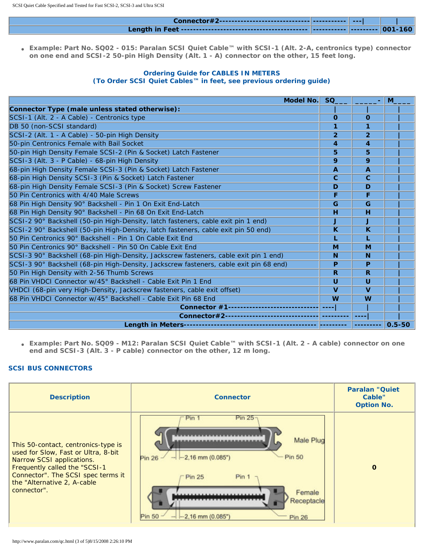● **Example: Part No. SQ02 - 015: Paralan SCSI Quiet Cable™ with SCSI-1 (Alt. 2-A, centronics type) connector on one end and SCSI-2 50-pin High Density (Alt. 1 - A) connector on the other, 15 feet long.**

### **Ordering Guide for CABLES IN METERS (To Order SCSI Quiet Cables™ in feet, see [previous ordering guide\)](#page-0-0)**

<span id="page-2-1"></span>

| Model No.                                                                              | SQ             |                         | M          |
|----------------------------------------------------------------------------------------|----------------|-------------------------|------------|
| Connector Type (male unless stated otherwise):                                         |                |                         |            |
| SCSI-1 (Alt. 2 - A Cable) - Centronics type                                            | $\Omega$       | $\Omega$                |            |
| DB 50 (non-SCSI standard)                                                              | 1              | 1                       |            |
| SCSI-2 (Alt. 1 - A Cable) - 50-pin High Density                                        | $\overline{2}$ | $\overline{2}$          |            |
| 50-pin Centronics Female with Bail Socket                                              | 4              | 4                       |            |
| 50-pin High Density Female SCSI-2 (Pin & Socket) Latch Fastener                        | 5              | 5                       |            |
| SCSI-3 (Alt. 3 - P Cable) - 68-pin High Density                                        | 9              | 9                       |            |
| 68-pin High Density Female SCSI-3 (Pin & Socket) Latch Fastener                        | $\mathbf{A}$   | $\mathbf{A}$            |            |
| 68-pin High Density SCSI-3 (Pin & Socket) Latch Fastener                               | $\mathbf{C}$   | $\mathbf{C}$            |            |
| 68-pin High Density Female SCSI-3 (Pin & Socket) Screw Fastener                        | D              | D                       |            |
| 50 Pin Centronics with 4/40 Male Screws                                                | F              | F                       |            |
| 68 Pin High Density 90° Backshell - Pin 1 On Exit End-Latch                            | G              | G                       |            |
| 68 Pin High Density 90° Backshell - Pin 68 On Exit End-Latch                           | н              | H                       |            |
| SCSI-2 90° Backshell (50-pin High-Density, latch fasteners, cable exit pin 1 end)      | J              | J                       |            |
| SCSI-2 90° Backshell (50-pin High-Density, latch fasteners, cable exit pin 50 end)     | K              | $\overline{\mathbf{K}}$ |            |
| 50 Pin Centronics 90° Backshell - Pin 1 On Cable Exit End                              |                |                         |            |
| 50 Pin Centronics 90° Backshell - Pin 50 On Cable Exit End                             | M              | M                       |            |
| SCSI-3 90° Backshell (68-pin High-Density, Jackscrew fasteners, cable exit pin 1 end)  | <b>N</b>       | N                       |            |
| SCSI-3 90° Backshell (68-pin High-Density, Jackscrew fasteners, cable exit pin 68 end) | P              | P                       |            |
| 50 Pin High Density with 2-56 Thumb Screws                                             | R.             | R                       |            |
| 68 Pin VHDCI Connector w/45° Backshell - Cable Exit Pin 1 End                          | U              | $\cup$                  |            |
| VHDCI (68-pin very High-Density, Jackscrew fasteners, cable exit offset)               | $\mathbf{V}$   | $\mathbf v$             |            |
| 68 Pin VHDCI Connector w/45° Backshell - Cable Exit Pin 68 End                         | W              | W                       |            |
| <b>Connector #1-------------------</b>                                                 |                |                         |            |
| Connector#2------------------------                                                    |                |                         |            |
|                                                                                        |                | -------                 | $0.5 - 50$ |

● **Example: Part No. SQ09 - M12: Paralan SCSI Quiet Cable™ with SCSI-1 (Alt. 2 - A cable) connector on one end and SCSI-3 (Alt. 3 - P cable) connector on the other, 12 m long.**

# **SCSI BUS CONNECTORS**

<span id="page-2-0"></span>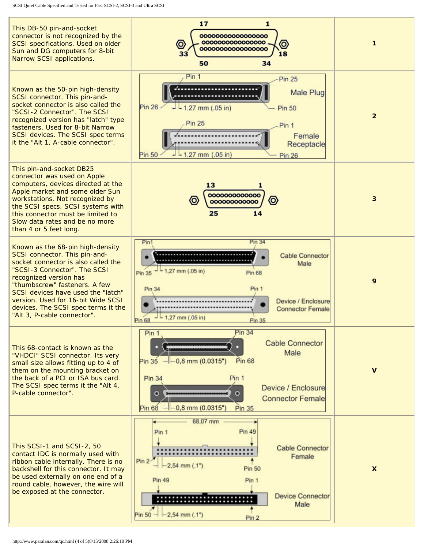